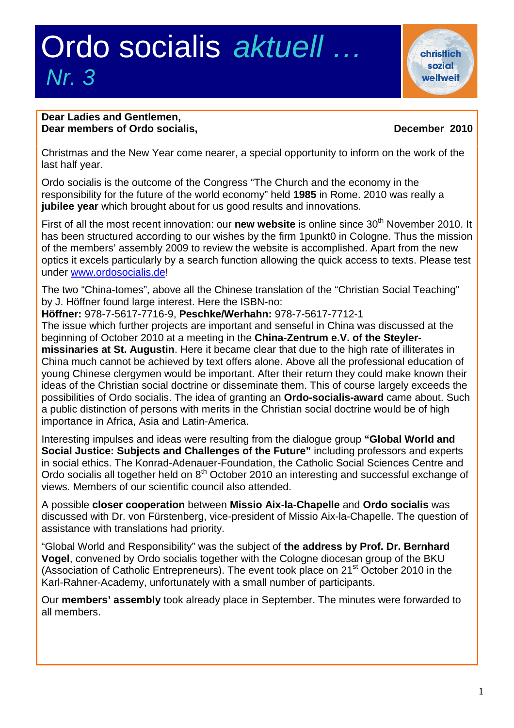# Ordo socialis *aktuell … Nr. 3*

**christlich** sozial weltweit

### **Dear Ladies and Gentlemen, Dear members of Ordo socialis, December 2010**

Christmas and the New Year come nearer, a special opportunity to inform on the work of the last half year.

Ordo socialis is the outcome of the Congress "The Church and the economy in the responsibility for the future of the world economy" held **1985** in Rome. 2010 was really a **jubilee year** which brought about for us good results and innovations.

First of all the most recent innovation: our **new website** is online since 30<sup>th</sup> November 2010. It has been structured according to our wishes by the firm 1punkt0 in Cologne. Thus the mission of the members' assembly 2009 to review the website is accomplished. Apart from the new optics it excels particularly by a search function allowing the quick access to texts. Please test under [www.ordosocialis.de](http://www.ordosocialis.de/)!

The two "China-tomes", above all the Chinese translation of the "Christian Social Teaching" by J. Höffner found large interest. Here the ISBN-no:

**Höffner:** 978-7-5617-7716-9, **Peschke/Werhahn:** 978-7-5617-7712-1

The issue which further projects are important and senseful in China was discussed at the beginning of October 2010 at a meeting in the **China-Zentrum e.V. of the Steylermissinaries at St. Augustin**. Here it became clear that due to the high rate of illiterates in China much cannot be achieved by text offers alone. Above all the professional education of young Chinese clergymen would be important. After their return they could make known their ideas of the Christian social doctrine or disseminate them. This of course largely exceeds the possibilities of Ordo socialis. The idea of granting an **Ordo-socialis-award** came about. Such a public distinction of persons with merits in the Christian social doctrine would be of high importance in Africa, Asia and Latin-America.

Interesting impulses and ideas were resulting from the dialogue group **"Global World and Social Justice: Subjects and Challenges of the Future"** including professors and experts in social ethics. The Konrad-Adenauer-Foundation, the Catholic Social Sciences Centre and Ordo socialis all together held on 8<sup>th</sup> October 2010 an interesting and successful exchange of views. Members of our scientific council also attended.

A possible **closer cooperation** between **Missio Aix-la-Chapelle** and **Ordo socialis** was discussed with Dr. von Fürstenberg, vice-president of Missio Aix-la-Chapelle. The question of assistance with translations had priority.

"Global World and Responsibility" was the subject of **the address by Prof. Dr. Bernhard Vogel**, convened by Ordo socialis together with the Cologne diocesan group of the BKU (Association of Catholic Entrepreneurs). The event took place on 21<sup>st</sup> October 2010 in the Karl-Rahner-Academy, unfortunately with a small number of participants.

Our **members' assembly** took already place in September. The minutes were forwarded to all members.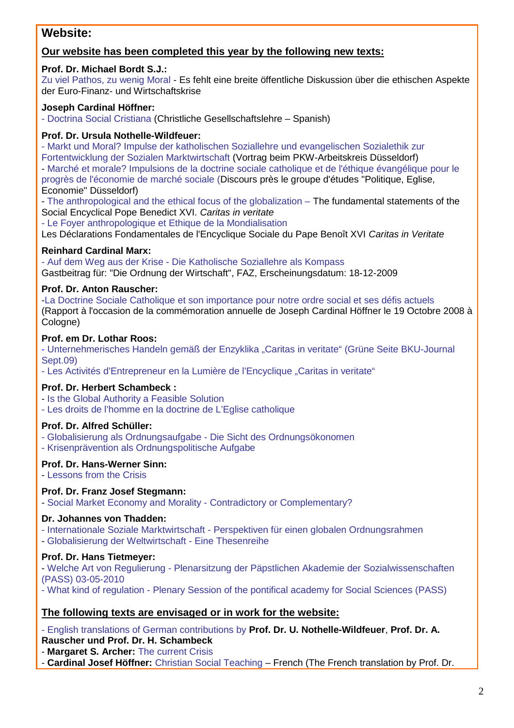## **Website:**

### **Our website has been completed this year by the following new texts:**

#### **Prof. Dr. Michael Bordt S.J.:**

Zu viel Pathos, zu wenig Moral - Es fehlt eine breite öffentliche Diskussion über die ethischen Aspekte der Euro-Finanz- und Wirtschaftskrise

#### **Joseph Cardinal Höffner:**

- Doctrina Social Cristiana (Christliche Gesellschaftslehre – Spanish)

#### **Prof. Dr. Ursula Nothelle-Wildfeuer:**

- Markt und Moral? Impulse der katholischen Soziallehre und evangelischen Sozialethik zur Fortentwicklung der Sozialen Marktwirtschaft (Vortrag beim PKW-Arbeitskreis Düsseldorf) - Marché et morale? Impulsions de la doctrine sociale catholique et de l'éthique évangélique pour le progrès de l'économie de marché sociale (Discours près le groupe d'études "Politique, Eglise, Economie" Düsseldorf)

- The anthropological and the ethical focus of the globalization – The fundamental statements of the Social Encyclical Pope Benedict XVI. *Caritas in veritate*

- Le Foyer anthropologique et Ethique de la Mondialisation

Les Déclarations Fondamentales de l'Encyclique Sociale du Pape Benoît XVI *Caritas in Veritate*

#### **Reinhard Cardinal Marx:**

- Auf dem Weg aus der Krise - Die Katholische Soziallehre als Kompass Gastbeitrag für: "Die Ordnung der Wirtschaft", FAZ, Erscheinungsdatum: 18-12-2009

#### **Prof. Dr. Anton Rauscher:**

-La Doctrine Sociale Catholique et son importance pour notre ordre social et ses défis actuels (Rapport à l'occasion de la commémoration annuelle de Joseph Cardinal Höffner le 19 Octobre 2008 à Cologne)

#### **Prof. em Dr. Lothar Roos:**

- Unternehmerisches Handeln gemäß der Enzyklika "Caritas in veritate" (Grüne Seite BKU-Journal Sept.09)

- Les Activités d'Entrepreneur en la Lumière de l'Encyclique "Caritas in veritate"

#### **Prof. Dr. Herbert Schambeck :**

- Is the Global Authority a Feasible Solution

- Les droits de l'homme en la doctrine de L'Eglise catholique

#### **Prof. Dr. Alfred Schüller:**

- Globalisierung als Ordnungsaufgabe - Die Sicht des Ordnungsökonomen

- Krisenprävention als Ordnungspolitische Aufgabe

#### **Prof. Dr. Hans-Werner Sinn:**

- Lessons from the Crisis

#### **Prof. Dr. Franz Josef Stegmann:**

- Social Market Economy and Morality - Contradictory or Complementary?

#### **Dr. Johannes von Thadden:**

- Internationale Soziale Marktwirtschaft - Perspektiven für einen globalen Ordnungsrahmen

- Globalisierung der Weltwirtschaft - Eine Thesenreihe

#### **Prof. Dr. Hans Tietmeyer:**

- Welche Art von Regulierung - Plenarsitzung der Päpstlichen Akademie der Sozialwissenschaften (PASS) 03-05-2010

- What kind of regulation - Plenary Session of the pontifical academy for Social Sciences (PASS)

#### **The following texts are envisaged or in work for the website:**

- English translations of German contributions by **Prof. Dr. U. Nothelle-Wildfeuer**, **Prof. Dr. A. Rauscher und Prof. Dr. H. Schambeck**

- **Margaret S. Archer:** The current Crisis

- **Cardinal Josef Höffner:** Christian Social Teaching – French (The French translation by Prof. Dr.